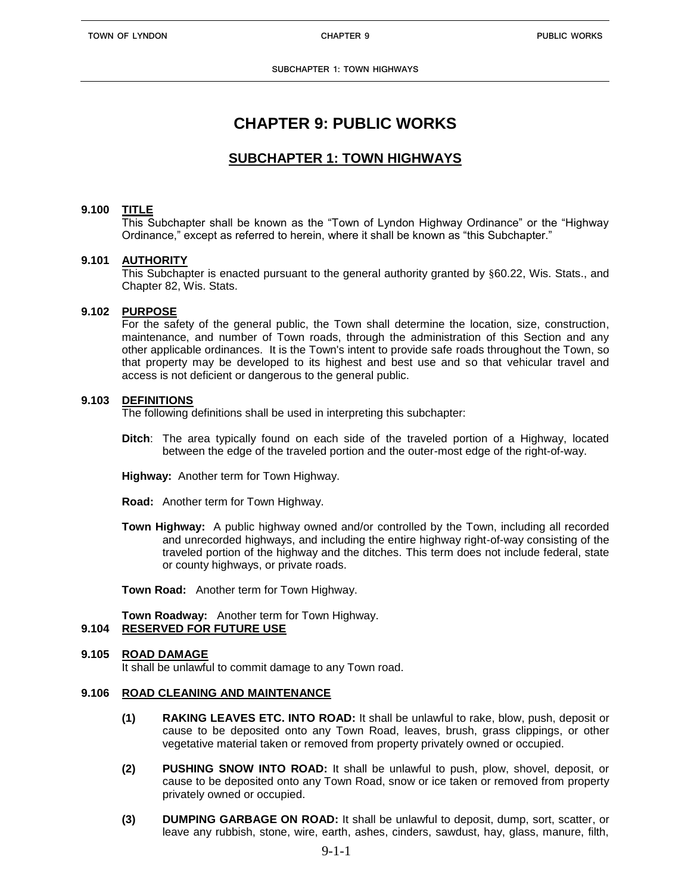# **CHAPTER 9: PUBLIC WORKS**

# **SUBCHAPTER 1: TOWN HIGHWAYS**

## **9.100 TITLE**

This Subchapter shall be known as the "Town of Lyndon Highway Ordinance" or the "Highway Ordinance," except as referred to herein, where it shall be known as "this Subchapter."

#### **9.101 AUTHORITY**

This Subchapter is enacted pursuant to the general authority granted by §60.22, Wis. Stats., and Chapter 82, Wis. Stats.

#### **9.102 PURPOSE**

For the safety of the general public, the Town shall determine the location, size, construction, maintenance, and number of Town roads, through the administration of this Section and any other applicable ordinances. It is the Town's intent to provide safe roads throughout the Town, so that property may be developed to its highest and best use and so that vehicular travel and access is not deficient or dangerous to the general public.

#### **9.103 DEFINITIONS**

The following definitions shall be used in interpreting this subchapter:

- **Ditch**: The area typically found on each side of the traveled portion of a Highway, located between the edge of the traveled portion and the outer-most edge of the right-of-way.
- **Highway:** Another term for Town Highway.
- **Road:** Another term for Town Highway.
- **Town Highway:** A public highway owned and/or controlled by the Town, including all recorded and unrecorded highways, and including the entire highway right-of-way consisting of the traveled portion of the highway and the ditches. This term does not include federal, state or county highways, or private roads.

**Town Road:** Another term for Town Highway.

**Town Roadway:** Another term for Town Highway.

# **9.104 RESERVED FOR FUTURE USE**

#### **9.105 ROAD DAMAGE**

It shall be unlawful to commit damage to any Town road.

#### **9.106 ROAD CLEANING AND MAINTENANCE**

- **(1) RAKING LEAVES ETC. INTO ROAD:** It shall be unlawful to rake, blow, push, deposit or cause to be deposited onto any Town Road, leaves, brush, grass clippings, or other vegetative material taken or removed from property privately owned or occupied.
- **(2) PUSHING SNOW INTO ROAD:** It shall be unlawful to push, plow, shovel, deposit, or cause to be deposited onto any Town Road, snow or ice taken or removed from property privately owned or occupied.
- **(3) DUMPING GARBAGE ON ROAD:** It shall be unlawful to deposit, dump, sort, scatter, or leave any rubbish, stone, wire, earth, ashes, cinders, sawdust, hay, glass, manure, filth,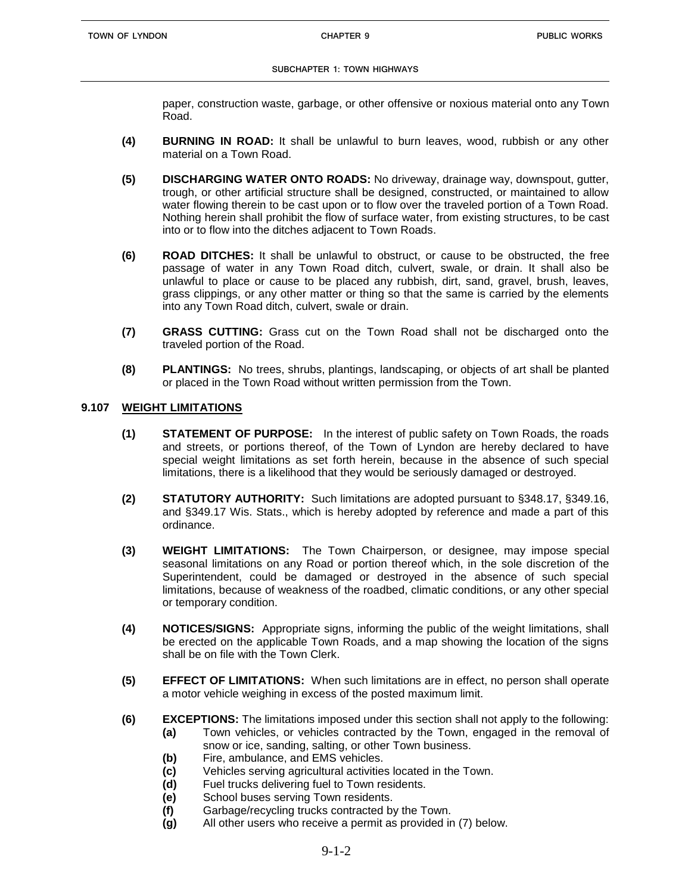paper, construction waste, garbage, or other offensive or noxious material onto any Town Road.

- **(4) BURNING IN ROAD:** It shall be unlawful to burn leaves, wood, rubbish or any other material on a Town Road.
- **(5) DISCHARGING WATER ONTO ROADS:** No driveway, drainage way, downspout, gutter, trough, or other artificial structure shall be designed, constructed, or maintained to allow water flowing therein to be cast upon or to flow over the traveled portion of a Town Road. Nothing herein shall prohibit the flow of surface water, from existing structures, to be cast into or to flow into the ditches adjacent to Town Roads.
- **(6) ROAD DITCHES:** It shall be unlawful to obstruct, or cause to be obstructed, the free passage of water in any Town Road ditch, culvert, swale, or drain. It shall also be unlawful to place or cause to be placed any rubbish, dirt, sand, gravel, brush, leaves, grass clippings, or any other matter or thing so that the same is carried by the elements into any Town Road ditch, culvert, swale or drain.
- **(7) GRASS CUTTING:** Grass cut on the Town Road shall not be discharged onto the traveled portion of the Road.
- **(8) PLANTINGS:** No trees, shrubs, plantings, landscaping, or objects of art shall be planted or placed in the Town Road without written permission from the Town.

## **9.107 WEIGHT LIMITATIONS**

- **(1) STATEMENT OF PURPOSE:** In the interest of public safety on Town Roads, the roads and streets, or portions thereof, of the Town of Lyndon are hereby declared to have special weight limitations as set forth herein, because in the absence of such special limitations, there is a likelihood that they would be seriously damaged or destroyed.
- **(2) STATUTORY AUTHORITY:** Such limitations are adopted pursuant to §348.17, §349.16, and §349.17 Wis. Stats., which is hereby adopted by reference and made a part of this ordinance.
- **(3) WEIGHT LIMITATIONS:** The Town Chairperson, or designee, may impose special seasonal limitations on any Road or portion thereof which, in the sole discretion of the Superintendent, could be damaged or destroyed in the absence of such special limitations, because of weakness of the roadbed, climatic conditions, or any other special or temporary condition.
- **(4) NOTICES/SIGNS:** Appropriate signs, informing the public of the weight limitations, shall be erected on the applicable Town Roads, and a map showing the location of the signs shall be on file with the Town Clerk.
- **(5) EFFECT OF LIMITATIONS:** When such limitations are in effect, no person shall operate a motor vehicle weighing in excess of the posted maximum limit.
- **(6) EXCEPTIONS:** The limitations imposed under this section shall not apply to the following:
	- **(a)** Town vehicles, or vehicles contracted by the Town, engaged in the removal of snow or ice, sanding, salting, or other Town business.
		- **(b)** Fire, ambulance, and EMS vehicles.
		- **(c)** Vehicles serving agricultural activities located in the Town.
	- **(d)** Fuel trucks delivering fuel to Town residents.
	- **(e)** School buses serving Town residents.
	- **(f)** Garbage/recycling trucks contracted by the Town.
	- **(g)** All other users who receive a permit as provided in (7) below.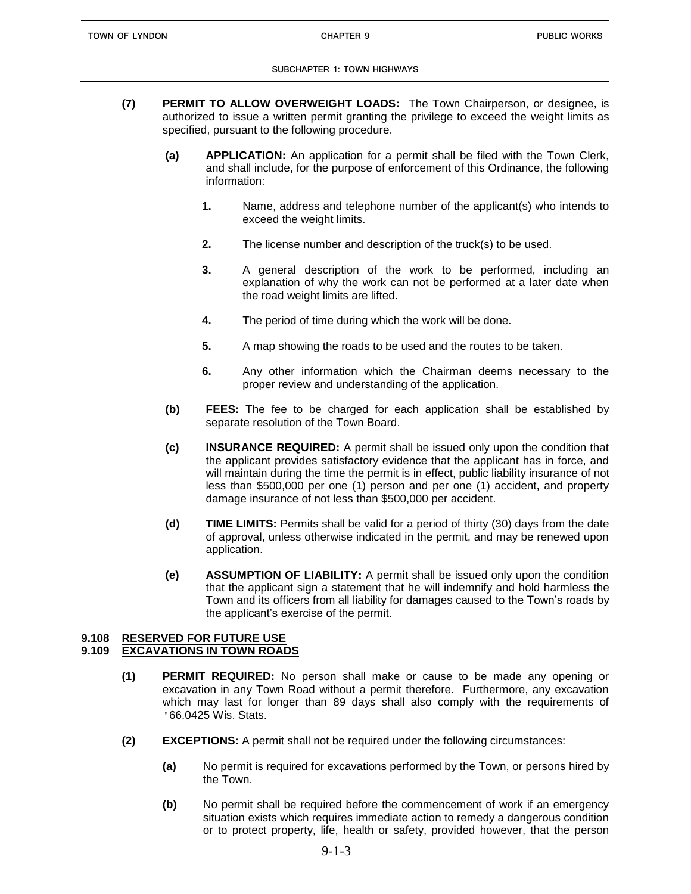- **(7) PERMIT TO ALLOW OVERWEIGHT LOADS:** The Town Chairperson, or designee, is authorized to issue a written permit granting the privilege to exceed the weight limits as specified, pursuant to the following procedure.
	- **(a) APPLICATION:** An application for a permit shall be filed with the Town Clerk, and shall include, for the purpose of enforcement of this Ordinance, the following information:
		- **1.** Name, address and telephone number of the applicant(s) who intends to exceed the weight limits.
		- **2.** The license number and description of the truck(s) to be used.
		- **3.** A general description of the work to be performed, including an explanation of why the work can not be performed at a later date when the road weight limits are lifted.
		- **4.** The period of time during which the work will be done.
		- **5.** A map showing the roads to be used and the routes to be taken.
		- **6.** Any other information which the Chairman deems necessary to the proper review and understanding of the application.
	- **(b) FEES:** The fee to be charged for each application shall be established by separate resolution of the Town Board.
	- **(c) INSURANCE REQUIRED:** A permit shall be issued only upon the condition that the applicant provides satisfactory evidence that the applicant has in force, and will maintain during the time the permit is in effect, public liability insurance of not less than \$500,000 per one (1) person and per one (1) accident, and property damage insurance of not less than \$500,000 per accident.
	- **(d) TIME LIMITS:** Permits shall be valid for a period of thirty (30) days from the date of approval, unless otherwise indicated in the permit, and may be renewed upon application.
	- **(e) ASSUMPTION OF LIABILITY:** A permit shall be issued only upon the condition that the applicant sign a statement that he will indemnify and hold harmless the Town and its officers from all liability for damages caused to the Town's roads by the applicant's exercise of the permit.

# **9.108 RESERVED FOR FUTURE USE**

# **9.109 EXCAVATIONS IN TOWN ROADS**

- **(1) PERMIT REQUIRED:** No person shall make or cause to be made any opening or excavation in any Town Road without a permit therefore. Furthermore, any excavation which may last for longer than 89 days shall also comply with the requirements of '66.0425 Wis. Stats.
- **(2) EXCEPTIONS:** A permit shall not be required under the following circumstances:
	- **(a)** No permit is required for excavations performed by the Town, or persons hired by the Town.
	- **(b)** No permit shall be required before the commencement of work if an emergency situation exists which requires immediate action to remedy a dangerous condition or to protect property, life, health or safety, provided however, that the person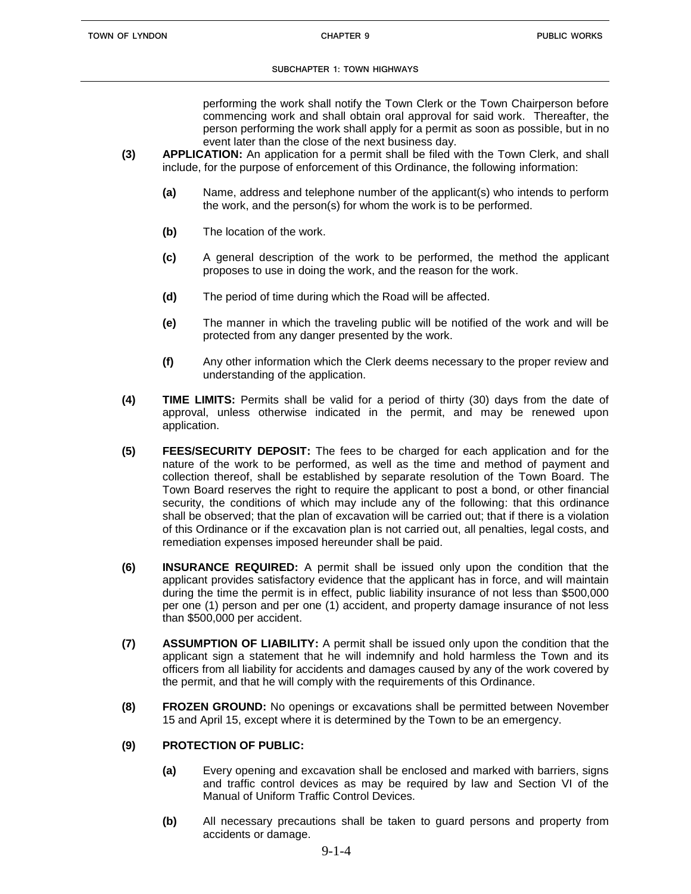performing the work shall notify the Town Clerk or the Town Chairperson before commencing work and shall obtain oral approval for said work. Thereafter, the person performing the work shall apply for a permit as soon as possible, but in no event later than the close of the next business day.

- **(3) APPLICATION:** An application for a permit shall be filed with the Town Clerk, and shall include, for the purpose of enforcement of this Ordinance, the following information:
	- **(a)** Name, address and telephone number of the applicant(s) who intends to perform the work, and the person(s) for whom the work is to be performed.
	- **(b)** The location of the work.
	- **(c)** A general description of the work to be performed, the method the applicant proposes to use in doing the work, and the reason for the work.
	- **(d)** The period of time during which the Road will be affected.
	- **(e)** The manner in which the traveling public will be notified of the work and will be protected from any danger presented by the work.
	- **(f)** Any other information which the Clerk deems necessary to the proper review and understanding of the application.
- **(4) TIME LIMITS:** Permits shall be valid for a period of thirty (30) days from the date of approval, unless otherwise indicated in the permit, and may be renewed upon application.
- **(5) FEES/SECURITY DEPOSIT:** The fees to be charged for each application and for the nature of the work to be performed, as well as the time and method of payment and collection thereof, shall be established by separate resolution of the Town Board. The Town Board reserves the right to require the applicant to post a bond, or other financial security, the conditions of which may include any of the following: that this ordinance shall be observed; that the plan of excavation will be carried out; that if there is a violation of this Ordinance or if the excavation plan is not carried out, all penalties, legal costs, and remediation expenses imposed hereunder shall be paid.
- **(6) INSURANCE REQUIRED:** A permit shall be issued only upon the condition that the applicant provides satisfactory evidence that the applicant has in force, and will maintain during the time the permit is in effect, public liability insurance of not less than \$500,000 per one (1) person and per one (1) accident, and property damage insurance of not less than \$500,000 per accident.
- **(7) ASSUMPTION OF LIABILITY:** A permit shall be issued only upon the condition that the applicant sign a statement that he will indemnify and hold harmless the Town and its officers from all liability for accidents and damages caused by any of the work covered by the permit, and that he will comply with the requirements of this Ordinance.
- **(8) FROZEN GROUND:** No openings or excavations shall be permitted between November 15 and April 15, except where it is determined by the Town to be an emergency.

# **(9) PROTECTION OF PUBLIC:**

- **(a)** Every opening and excavation shall be enclosed and marked with barriers, signs and traffic control devices as may be required by law and Section VI of the Manual of Uniform Traffic Control Devices.
- **(b)** All necessary precautions shall be taken to guard persons and property from accidents or damage.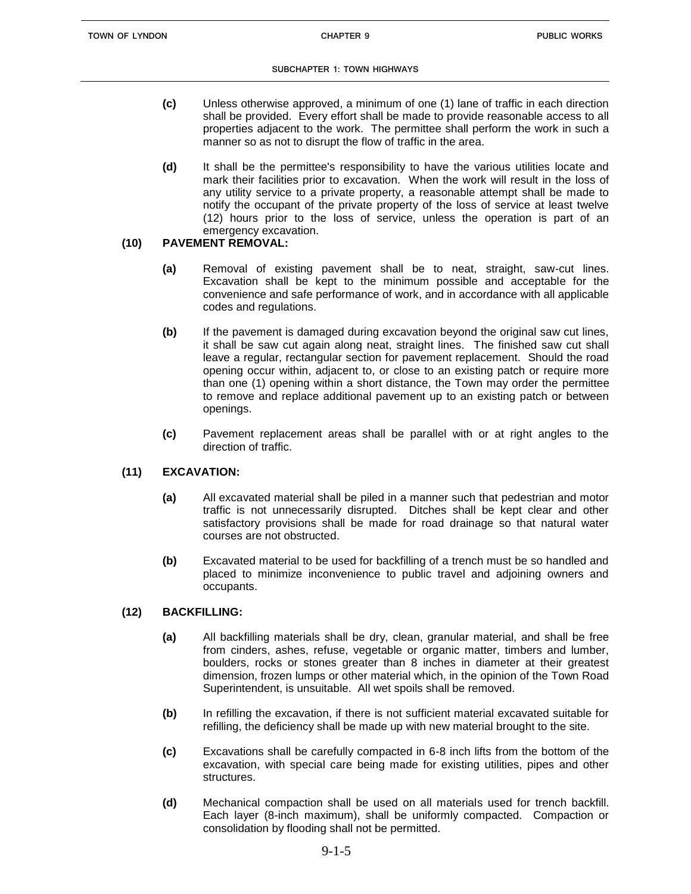- **(c)** Unless otherwise approved, a minimum of one (1) lane of traffic in each direction shall be provided. Every effort shall be made to provide reasonable access to all properties adjacent to the work. The permittee shall perform the work in such a manner so as not to disrupt the flow of traffic in the area.
- **(d)** It shall be the permittee's responsibility to have the various utilities locate and mark their facilities prior to excavation. When the work will result in the loss of any utility service to a private property, a reasonable attempt shall be made to notify the occupant of the private property of the loss of service at least twelve (12) hours prior to the loss of service, unless the operation is part of an emergency excavation.

# **(10) PAVEMENT REMOVAL:**

- **(a)** Removal of existing pavement shall be to neat, straight, saw-cut lines. Excavation shall be kept to the minimum possible and acceptable for the convenience and safe performance of work, and in accordance with all applicable codes and regulations.
- **(b)** If the pavement is damaged during excavation beyond the original saw cut lines, it shall be saw cut again along neat, straight lines. The finished saw cut shall leave a regular, rectangular section for pavement replacement. Should the road opening occur within, adjacent to, or close to an existing patch or require more than one (1) opening within a short distance, the Town may order the permittee to remove and replace additional pavement up to an existing patch or between openings.
- **(c)** Pavement replacement areas shall be parallel with or at right angles to the direction of traffic.

# **(11) EXCAVATION:**

- **(a)** All excavated material shall be piled in a manner such that pedestrian and motor traffic is not unnecessarily disrupted. Ditches shall be kept clear and other satisfactory provisions shall be made for road drainage so that natural water courses are not obstructed.
- **(b)** Excavated material to be used for backfilling of a trench must be so handled and placed to minimize inconvenience to public travel and adjoining owners and occupants.

## **(12) BACKFILLING:**

- **(a)** All backfilling materials shall be dry, clean, granular material, and shall be free from cinders, ashes, refuse, vegetable or organic matter, timbers and lumber, boulders, rocks or stones greater than 8 inches in diameter at their greatest dimension, frozen lumps or other material which, in the opinion of the Town Road Superintendent, is unsuitable. All wet spoils shall be removed.
- **(b)** In refilling the excavation, if there is not sufficient material excavated suitable for refilling, the deficiency shall be made up with new material brought to the site.
- **(c)** Excavations shall be carefully compacted in 6-8 inch lifts from the bottom of the excavation, with special care being made for existing utilities, pipes and other structures.
- **(d)** Mechanical compaction shall be used on all materials used for trench backfill. Each layer (8-inch maximum), shall be uniformly compacted. Compaction or consolidation by flooding shall not be permitted.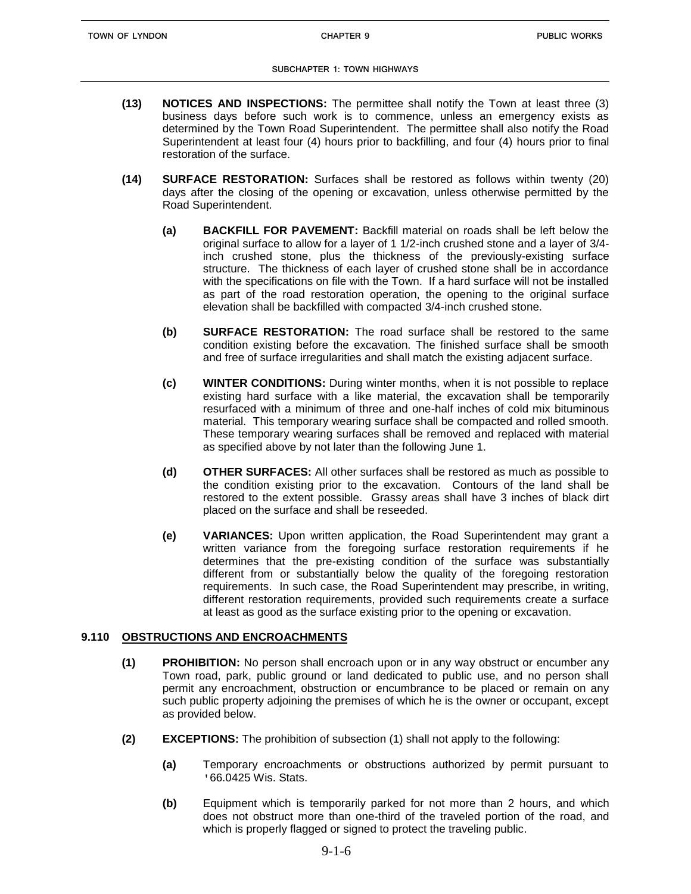- **(13) NOTICES AND INSPECTIONS:** The permittee shall notify the Town at least three (3) business days before such work is to commence, unless an emergency exists as determined by the Town Road Superintendent. The permittee shall also notify the Road Superintendent at least four (4) hours prior to backfilling, and four (4) hours prior to final restoration of the surface.
- **(14) SURFACE RESTORATION:** Surfaces shall be restored as follows within twenty (20) days after the closing of the opening or excavation, unless otherwise permitted by the Road Superintendent.
	- **(a) BACKFILL FOR PAVEMENT:** Backfill material on roads shall be left below the original surface to allow for a layer of 1 1/2-inch crushed stone and a layer of 3/4 inch crushed stone, plus the thickness of the previously-existing surface structure. The thickness of each layer of crushed stone shall be in accordance with the specifications on file with the Town. If a hard surface will not be installed as part of the road restoration operation, the opening to the original surface elevation shall be backfilled with compacted 3/4-inch crushed stone.
	- **(b) SURFACE RESTORATION:** The road surface shall be restored to the same condition existing before the excavation. The finished surface shall be smooth and free of surface irregularities and shall match the existing adjacent surface.
	- **(c) WINTER CONDITIONS:** During winter months, when it is not possible to replace existing hard surface with a like material, the excavation shall be temporarily resurfaced with a minimum of three and one-half inches of cold mix bituminous material. This temporary wearing surface shall be compacted and rolled smooth. These temporary wearing surfaces shall be removed and replaced with material as specified above by not later than the following June 1.
	- **(d) OTHER SURFACES:** All other surfaces shall be restored as much as possible to the condition existing prior to the excavation. Contours of the land shall be restored to the extent possible. Grassy areas shall have 3 inches of black dirt placed on the surface and shall be reseeded.
	- **(e) VARIANCES:** Upon written application, the Road Superintendent may grant a written variance from the foregoing surface restoration requirements if he determines that the pre-existing condition of the surface was substantially different from or substantially below the quality of the foregoing restoration requirements. In such case, the Road Superintendent may prescribe, in writing, different restoration requirements, provided such requirements create a surface at least as good as the surface existing prior to the opening or excavation.

## **9.110 OBSTRUCTIONS AND ENCROACHMENTS**

- **(1) PROHIBITION:** No person shall encroach upon or in any way obstruct or encumber any Town road, park, public ground or land dedicated to public use, and no person shall permit any encroachment, obstruction or encumbrance to be placed or remain on any such public property adjoining the premises of which he is the owner or occupant, except as provided below.
- **(2) EXCEPTIONS:** The prohibition of subsection (1) shall not apply to the following:
	- **(a)** Temporary encroachments or obstructions authorized by permit pursuant to '66.0425 Wis. Stats.
	- **(b)** Equipment which is temporarily parked for not more than 2 hours, and which does not obstruct more than one-third of the traveled portion of the road, and which is properly flagged or signed to protect the traveling public.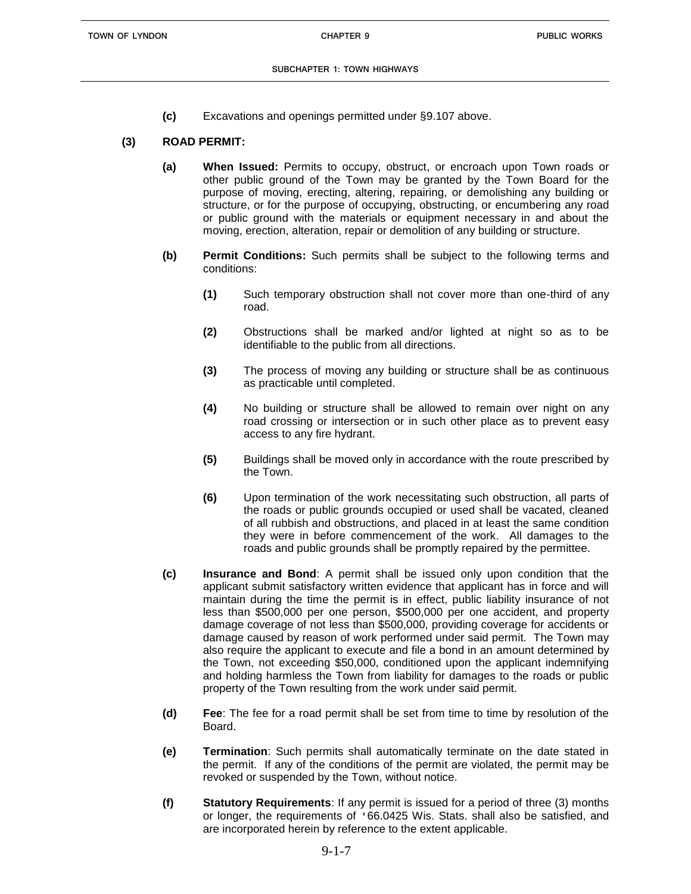**(c)** Excavations and openings permitted under §9.107 above.

# **(3) ROAD PERMIT:**

- **(a) When Issued:** Permits to occupy, obstruct, or encroach upon Town roads or other public ground of the Town may be granted by the Town Board for the purpose of moving, erecting, altering, repairing, or demolishing any building or structure, or for the purpose of occupying, obstructing, or encumbering any road or public ground with the materials or equipment necessary in and about the moving, erection, alteration, repair or demolition of any building or structure.
- **(b) Permit Conditions:** Such permits shall be subject to the following terms and conditions:
	- **(1)** Such temporary obstruction shall not cover more than one-third of any road.
	- **(2)** Obstructions shall be marked and/or lighted at night so as to be identifiable to the public from all directions.
	- **(3)** The process of moving any building or structure shall be as continuous as practicable until completed.
	- **(4)** No building or structure shall be allowed to remain over night on any road crossing or intersection or in such other place as to prevent easy access to any fire hydrant.
	- **(5)** Buildings shall be moved only in accordance with the route prescribed by the Town.
	- **(6)** Upon termination of the work necessitating such obstruction, all parts of the roads or public grounds occupied or used shall be vacated, cleaned of all rubbish and obstructions, and placed in at least the same condition they were in before commencement of the work. All damages to the roads and public grounds shall be promptly repaired by the permittee.
- **(c) Insurance and Bond**: A permit shall be issued only upon condition that the applicant submit satisfactory written evidence that applicant has in force and will maintain during the time the permit is in effect, public liability insurance of not less than \$500,000 per one person, \$500,000 per one accident, and property damage coverage of not less than \$500,000, providing coverage for accidents or damage caused by reason of work performed under said permit. The Town may also require the applicant to execute and file a bond in an amount determined by the Town, not exceeding \$50,000, conditioned upon the applicant indemnifying and holding harmless the Town from liability for damages to the roads or public property of the Town resulting from the work under said permit.
- **(d) Fee**: The fee for a road permit shall be set from time to time by resolution of the Board.
- **(e) Termination**: Such permits shall automatically terminate on the date stated in the permit. If any of the conditions of the permit are violated, the permit may be revoked or suspended by the Town, without notice.
- **(f) Statutory Requirements**: If any permit is issued for a period of three (3) months or longer, the requirements of '66.0425 Wis. Stats. shall also be satisfied, and are incorporated herein by reference to the extent applicable.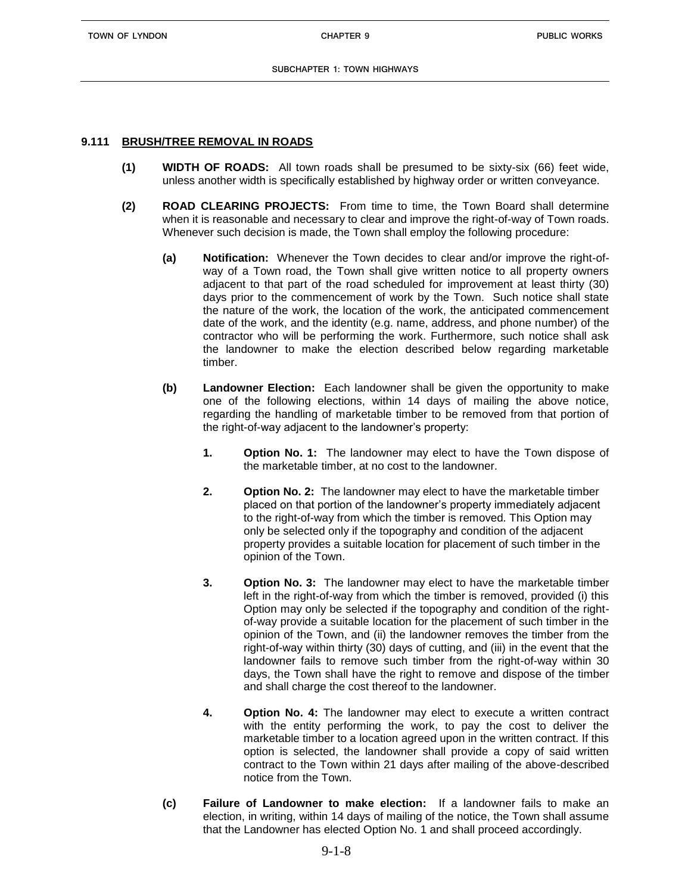**TOWN OF LYNDON CHAPTER 9**

## **9.111 BRUSH/TREE REMOVAL IN ROADS**

- **(1) WIDTH OF ROADS:** All town roads shall be presumed to be sixty-six (66) feet wide, unless another width is specifically established by highway order or written conveyance.
- **(2) ROAD CLEARING PROJECTS:** From time to time, the Town Board shall determine when it is reasonable and necessary to clear and improve the right-of-way of Town roads. Whenever such decision is made, the Town shall employ the following procedure:
	- **(a) Notification:** Whenever the Town decides to clear and/or improve the right-ofway of a Town road, the Town shall give written notice to all property owners adjacent to that part of the road scheduled for improvement at least thirty (30) days prior to the commencement of work by the Town. Such notice shall state the nature of the work, the location of the work, the anticipated commencement date of the work, and the identity (e.g. name, address, and phone number) of the contractor who will be performing the work. Furthermore, such notice shall ask the landowner to make the election described below regarding marketable timber.
	- **(b) Landowner Election:** Each landowner shall be given the opportunity to make one of the following elections, within 14 days of mailing the above notice, regarding the handling of marketable timber to be removed from that portion of the right-of-way adjacent to the landowner's property:
		- **1. Option No. 1:** The landowner may elect to have the Town dispose of the marketable timber, at no cost to the landowner.
		- **2. Option No. 2:** The landowner may elect to have the marketable timber placed on that portion of the landowner's property immediately adjacent to the right-of-way from which the timber is removed. This Option may only be selected only if the topography and condition of the adjacent property provides a suitable location for placement of such timber in the opinion of the Town.
		- **3. Option No. 3:** The landowner may elect to have the marketable timber left in the right-of-way from which the timber is removed, provided (i) this Option may only be selected if the topography and condition of the rightof-way provide a suitable location for the placement of such timber in the opinion of the Town, and (ii) the landowner removes the timber from the right-of-way within thirty (30) days of cutting, and (iii) in the event that the landowner fails to remove such timber from the right-of-way within 30 days, the Town shall have the right to remove and dispose of the timber and shall charge the cost thereof to the landowner.
		- **4. Option No. 4:** The landowner may elect to execute a written contract with the entity performing the work, to pay the cost to deliver the marketable timber to a location agreed upon in the written contract. If this option is selected, the landowner shall provide a copy of said written contract to the Town within 21 days after mailing of the above-described notice from the Town.
	- **(c) Failure of Landowner to make election:** If a landowner fails to make an election, in writing, within 14 days of mailing of the notice, the Town shall assume that the Landowner has elected Option No. 1 and shall proceed accordingly.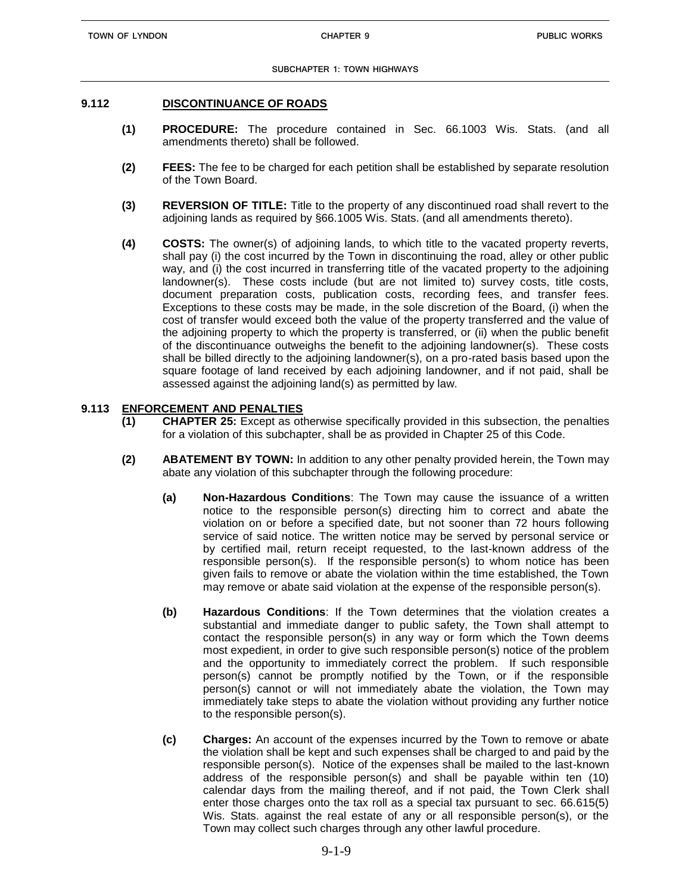#### **9.112 DISCONTINUANCE OF ROADS**

- **(1) PROCEDURE:** The procedure contained in Sec. 66.1003 Wis. Stats. (and all amendments thereto) shall be followed.
- **(2) FEES:** The fee to be charged for each petition shall be established by separate resolution of the Town Board.
- **(3) REVERSION OF TITLE:** Title to the property of any discontinued road shall revert to the adjoining lands as required by §66.1005 Wis. Stats. (and all amendments thereto).
- **(4) COSTS:** The owner(s) of adjoining lands, to which title to the vacated property reverts, shall pay (i) the cost incurred by the Town in discontinuing the road, alley or other public way, and (i) the cost incurred in transferring title of the vacated property to the adjoining landowner(s). These costs include (but are not limited to) survey costs, title costs, document preparation costs, publication costs, recording fees, and transfer fees. Exceptions to these costs may be made, in the sole discretion of the Board, (i) when the cost of transfer would exceed both the value of the property transferred and the value of the adjoining property to which the property is transferred, or (ii) when the public benefit of the discontinuance outweighs the benefit to the adjoining landowner(s). These costs shall be billed directly to the adjoining landowner(s), on a pro-rated basis based upon the square footage of land received by each adjoining landowner, and if not paid, shall be assessed against the adjoining land(s) as permitted by law.

## **9.113 ENFORCEMENT AND PENALTIES**

- **(1) CHAPTER 25:** Except as otherwise specifically provided in this subsection, the penalties for a violation of this subchapter, shall be as provided in Chapter 25 of this Code.
- **(2) ABATEMENT BY TOWN:** In addition to any other penalty provided herein, the Town may abate any violation of this subchapter through the following procedure:
	- **(a) Non-Hazardous Conditions**: The Town may cause the issuance of a written notice to the responsible person(s) directing him to correct and abate the violation on or before a specified date, but not sooner than 72 hours following service of said notice. The written notice may be served by personal service or by certified mail, return receipt requested, to the last-known address of the responsible person(s). If the responsible person(s) to whom notice has been given fails to remove or abate the violation within the time established, the Town may remove or abate said violation at the expense of the responsible person(s).
	- **(b) Hazardous Conditions**: If the Town determines that the violation creates a substantial and immediate danger to public safety, the Town shall attempt to contact the responsible person(s) in any way or form which the Town deems most expedient, in order to give such responsible person(s) notice of the problem and the opportunity to immediately correct the problem. If such responsible person(s) cannot be promptly notified by the Town, or if the responsible person(s) cannot or will not immediately abate the violation, the Town may immediately take steps to abate the violation without providing any further notice to the responsible person(s).
	- **(c) Charges:** An account of the expenses incurred by the Town to remove or abate the violation shall be kept and such expenses shall be charged to and paid by the responsible person(s). Notice of the expenses shall be mailed to the last-known address of the responsible person(s) and shall be payable within ten (10) calendar days from the mailing thereof, and if not paid, the Town Clerk shall enter those charges onto the tax roll as a special tax pursuant to sec. 66.615(5) Wis. Stats. against the real estate of any or all responsible person(s), or the Town may collect such charges through any other lawful procedure.